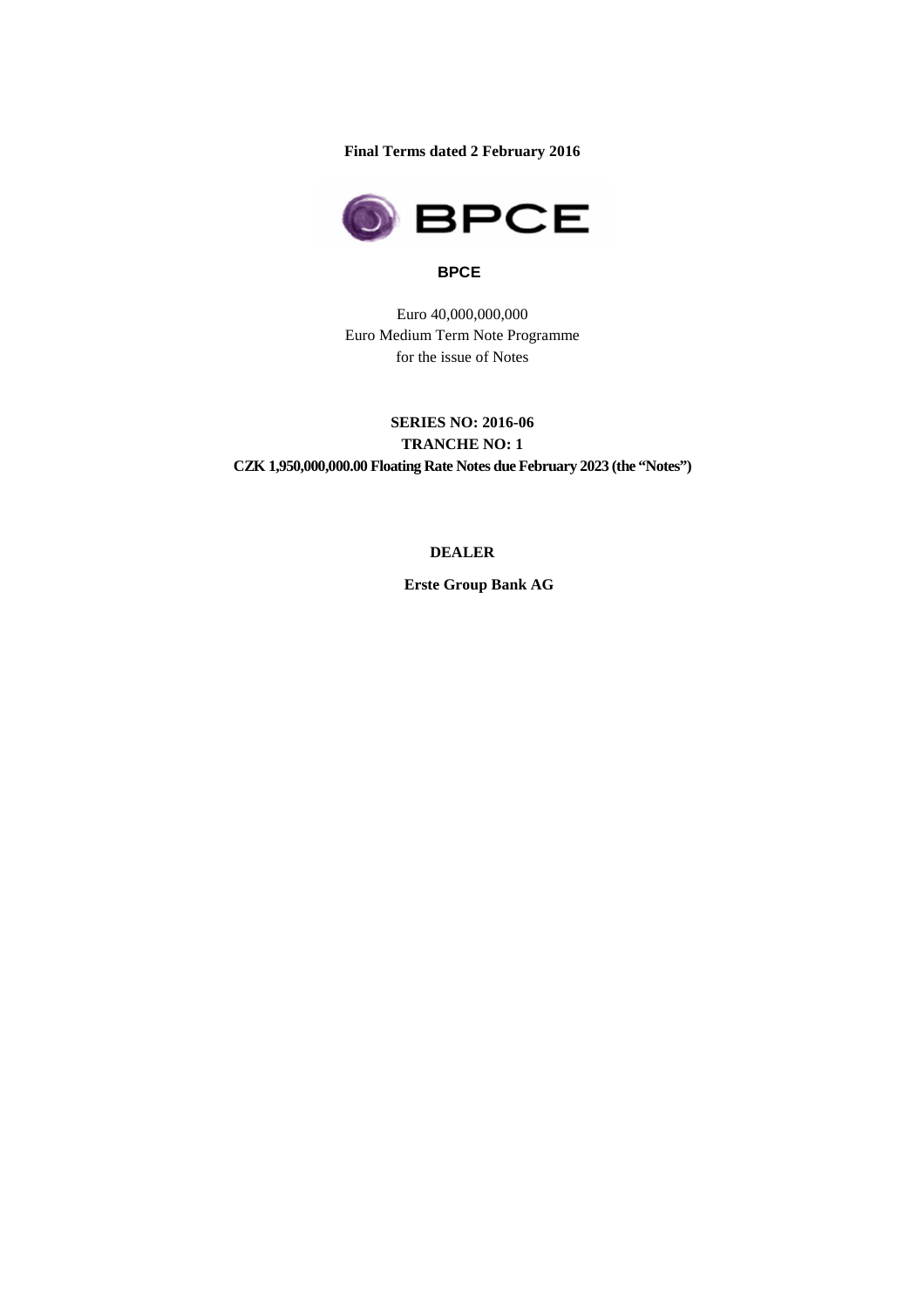**Final Terms dated 2 February 2016** 



## **BPCE**

Euro 40,000,000,000 Euro Medium Term Note Programme for the issue of Notes

**SERIES NO: 2016-06 TRANCHE NO: 1 CZK 1,950,000,000.00 Floating Rate Notes due February 2023 (the "Notes")** 

**DEALER** 

**Erste Group Bank AG**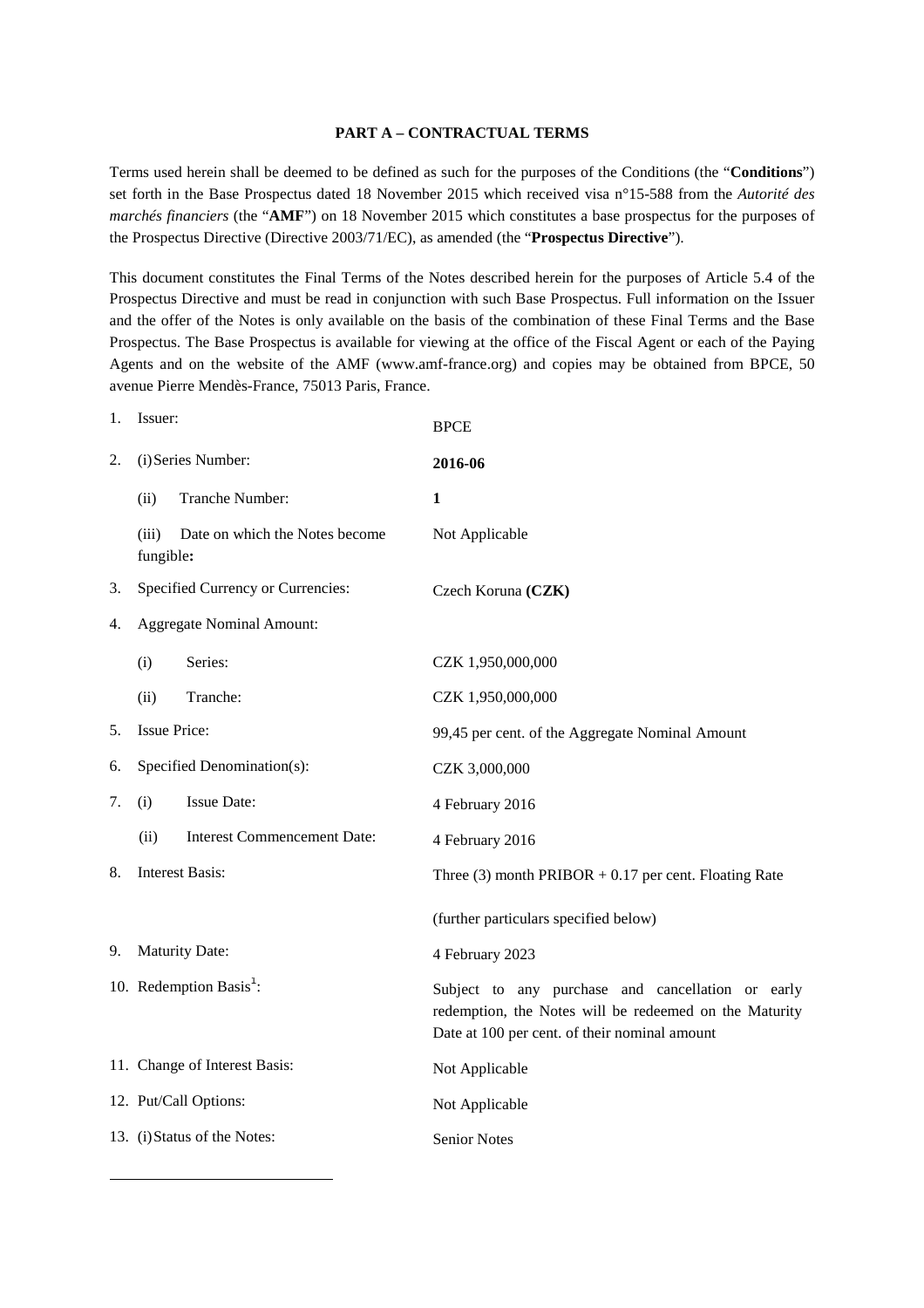#### **PART A – CONTRACTUAL TERMS**

Terms used herein shall be deemed to be defined as such for the purposes of the Conditions (the "**Conditions**") set forth in the Base Prospectus dated 18 November 2015 which received visa n°15-588 from the *Autorité des marchés financiers* (the "**AMF**") on 18 November 2015 which constitutes a base prospectus for the purposes of the Prospectus Directive (Directive 2003/71/EC), as amended (the "**Prospectus Directive**").

This document constitutes the Final Terms of the Notes described herein for the purposes of Article 5.4 of the Prospectus Directive and must be read in conjunction with such Base Prospectus. Full information on the Issuer and the offer of the Notes is only available on the basis of the combination of these Final Terms and the Base Prospectus. The Base Prospectus is available for viewing at the office of the Fiscal Agent or each of the Paying Agents and on the website of the AMF (www.amf-france.org) and copies may be obtained from BPCE, 50 avenue Pierre Mendès-France, 75013 Paris, France.

| 1. | Issuer:                           |                                     | <b>BPCE</b>                                                                                                                                                  |
|----|-----------------------------------|-------------------------------------|--------------------------------------------------------------------------------------------------------------------------------------------------------------|
| 2. | (i) Series Number:                |                                     | 2016-06                                                                                                                                                      |
|    | (ii)                              | Tranche Number:                     | $\mathbf{1}$                                                                                                                                                 |
|    | (iii)<br>fungible:                | Date on which the Notes become      | Not Applicable                                                                                                                                               |
| 3. | Specified Currency or Currencies: |                                     | Czech Koruna (CZK)                                                                                                                                           |
| 4. | <b>Aggregate Nominal Amount:</b>  |                                     |                                                                                                                                                              |
|    | (i)                               | Series:                             | CZK 1,950,000,000                                                                                                                                            |
|    | (ii)                              | Tranche:                            | CZK 1,950,000,000                                                                                                                                            |
| 5. | <b>Issue Price:</b>               |                                     | 99,45 per cent. of the Aggregate Nominal Amount                                                                                                              |
| 6. |                                   | Specified Denomination(s):          | CZK 3,000,000                                                                                                                                                |
| 7. | (i)                               | <b>Issue Date:</b>                  | 4 February 2016                                                                                                                                              |
|    | (ii)                              | <b>Interest Commencement Date:</b>  | 4 February 2016                                                                                                                                              |
| 8. |                                   | <b>Interest Basis:</b>              | Three (3) month PRIBOR $+$ 0.17 per cent. Floating Rate                                                                                                      |
|    |                                   |                                     | (further particulars specified below)                                                                                                                        |
| 9. | <b>Maturity Date:</b>             |                                     | 4 February 2023                                                                                                                                              |
|    |                                   | 10. Redemption Basis <sup>1</sup> : | Subject to any purchase and cancellation or early<br>redemption, the Notes will be redeemed on the Maturity<br>Date at 100 per cent. of their nominal amount |
|    |                                   | 11. Change of Interest Basis:       | Not Applicable                                                                                                                                               |
|    |                                   | 12. Put/Call Options:               | Not Applicable                                                                                                                                               |
|    |                                   | 13. (i) Status of the Notes:        | <b>Senior Notes</b>                                                                                                                                          |

l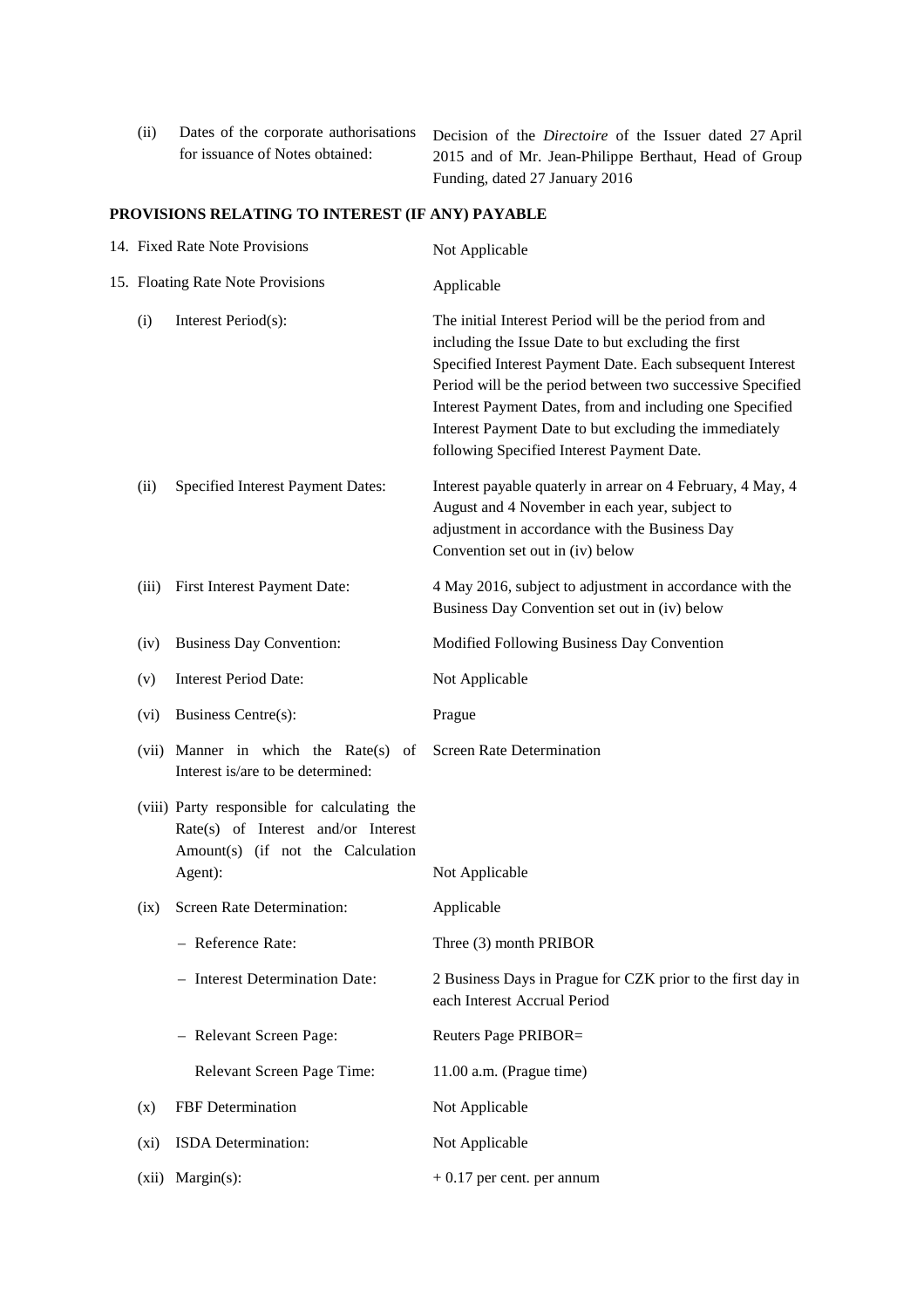(ii) Dates of the corporate authorisations for issuance of Notes obtained:

Decision of the *Directoire* of the Issuer dated 27 April 2015 and of Mr. Jean-Philippe Berthaut, Head of Group Funding, dated 27 January 2016

## **PROVISIONS RELATING TO INTEREST (IF ANY) PAYABLE**

|                                   | 14. Fixed Rate Note Provisions                                                                                           | Not Applicable                                                                                                                                                                                                                                                                                                                                                                                                |
|-----------------------------------|--------------------------------------------------------------------------------------------------------------------------|---------------------------------------------------------------------------------------------------------------------------------------------------------------------------------------------------------------------------------------------------------------------------------------------------------------------------------------------------------------------------------------------------------------|
| 15. Floating Rate Note Provisions |                                                                                                                          | Applicable                                                                                                                                                                                                                                                                                                                                                                                                    |
| (i)                               | Interest Period(s):                                                                                                      | The initial Interest Period will be the period from and<br>including the Issue Date to but excluding the first<br>Specified Interest Payment Date. Each subsequent Interest<br>Period will be the period between two successive Specified<br>Interest Payment Dates, from and including one Specified<br>Interest Payment Date to but excluding the immediately<br>following Specified Interest Payment Date. |
| (ii)                              | Specified Interest Payment Dates:                                                                                        | Interest payable quaterly in arrear on 4 February, 4 May, 4<br>August and 4 November in each year, subject to<br>adjustment in accordance with the Business Day<br>Convention set out in (iv) below                                                                                                                                                                                                           |
| (iii)                             | First Interest Payment Date:                                                                                             | 4 May 2016, subject to adjustment in accordance with the<br>Business Day Convention set out in (iv) below                                                                                                                                                                                                                                                                                                     |
| (iv)                              | <b>Business Day Convention:</b>                                                                                          | Modified Following Business Day Convention                                                                                                                                                                                                                                                                                                                                                                    |
| (v)                               | <b>Interest Period Date:</b>                                                                                             | Not Applicable                                                                                                                                                                                                                                                                                                                                                                                                |
| (vi)                              | Business Centre(s):                                                                                                      | Prague                                                                                                                                                                                                                                                                                                                                                                                                        |
|                                   | (vii) Manner in which the Rate(s) of<br>Interest is/are to be determined:                                                | <b>Screen Rate Determination</b>                                                                                                                                                                                                                                                                                                                                                                              |
|                                   | (viii) Party responsible for calculating the<br>Rate(s) of Interest and/or Interest<br>Amount(s) (if not the Calculation |                                                                                                                                                                                                                                                                                                                                                                                                               |
|                                   | Agent):                                                                                                                  | Not Applicable                                                                                                                                                                                                                                                                                                                                                                                                |
| (ix)                              | Screen Rate Determination:                                                                                               | Applicable                                                                                                                                                                                                                                                                                                                                                                                                    |
|                                   | - Reference Rate:                                                                                                        | Three (3) month PRIBOR                                                                                                                                                                                                                                                                                                                                                                                        |
|                                   | - Interest Determination Date:                                                                                           | 2 Business Days in Prague for CZK prior to the first day in<br>each Interest Accrual Period                                                                                                                                                                                                                                                                                                                   |
|                                   | - Relevant Screen Page:                                                                                                  | Reuters Page PRIBOR=                                                                                                                                                                                                                                                                                                                                                                                          |
|                                   | Relevant Screen Page Time:                                                                                               | 11.00 a.m. (Prague time)                                                                                                                                                                                                                                                                                                                                                                                      |
| (x)                               | FBF Determination                                                                                                        | Not Applicable                                                                                                                                                                                                                                                                                                                                                                                                |
| (xi)                              | ISDA Determination:                                                                                                      | Not Applicable                                                                                                                                                                                                                                                                                                                                                                                                |
| (xii)                             | $Margin(s)$ :                                                                                                            | $+0.17$ per cent. per annum                                                                                                                                                                                                                                                                                                                                                                                   |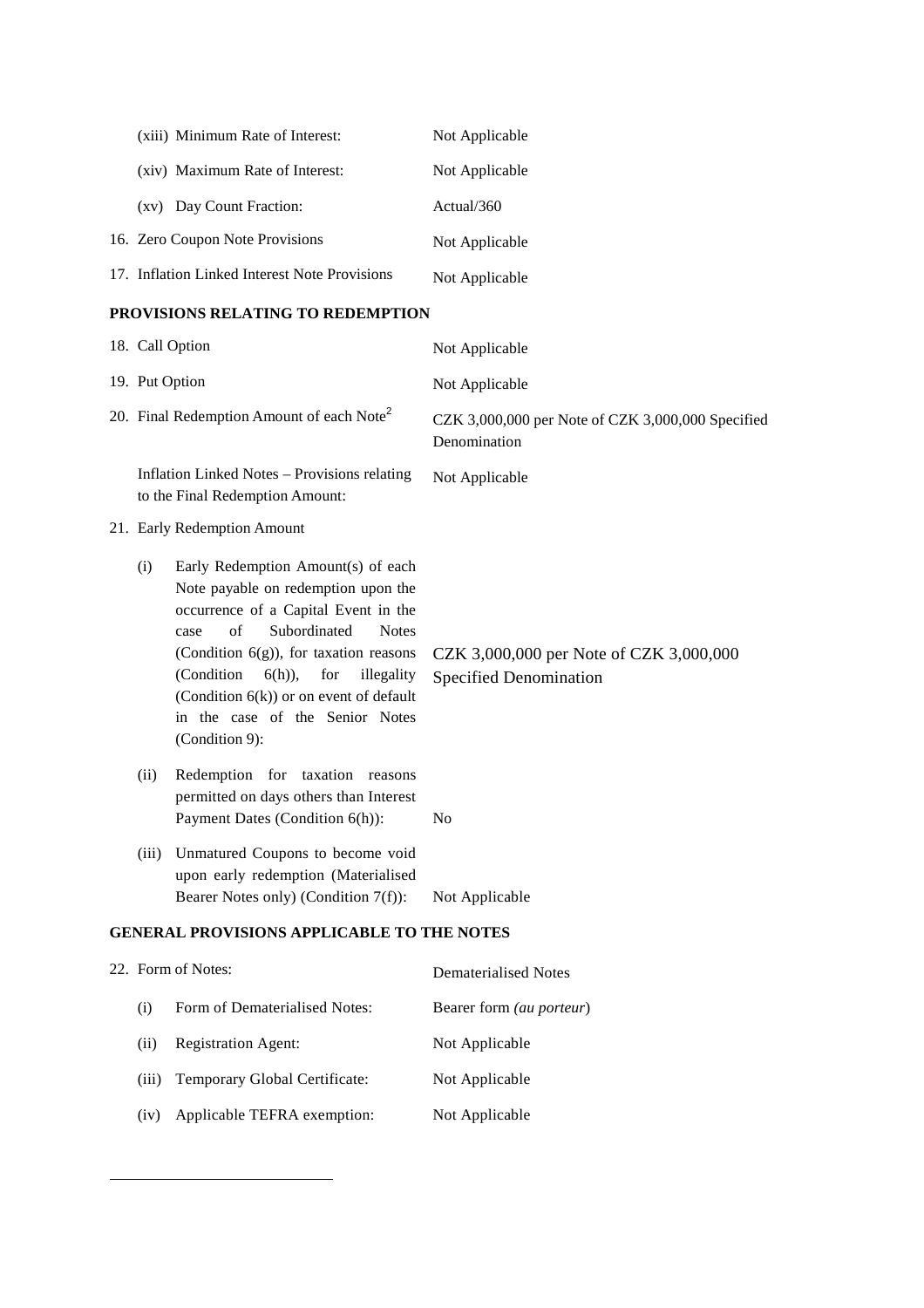| (xiii) Minimum Rate of Interest:              | Not Applicable |
|-----------------------------------------------|----------------|
| (xiv) Maximum Rate of Interest:               | Not Applicable |
| (xv) Day Count Fraction:                      | Actual/360     |
| 16. Zero Coupon Note Provisions               | Not Applicable |
| 17. Inflation Linked Interest Note Provisions | Not Applicable |

# **PROVISIONS RELATING TO REDEMPTION**

|                                                   | 18. Call Option                                       |                                                                                                                                                                                                                                                                                                                                                                 | Not Applicable                                                           |
|---------------------------------------------------|-------------------------------------------------------|-----------------------------------------------------------------------------------------------------------------------------------------------------------------------------------------------------------------------------------------------------------------------------------------------------------------------------------------------------------------|--------------------------------------------------------------------------|
|                                                   | 19. Put Option                                        |                                                                                                                                                                                                                                                                                                                                                                 | Not Applicable                                                           |
|                                                   | 20. Final Redemption Amount of each Note <sup>2</sup> |                                                                                                                                                                                                                                                                                                                                                                 | CZK 3,000,000 per Note of CZK 3,000,000 Specified<br>Denomination        |
|                                                   |                                                       | Inflation Linked Notes - Provisions relating<br>to the Final Redemption Amount:                                                                                                                                                                                                                                                                                 | Not Applicable                                                           |
|                                                   | 21. Early Redemption Amount                           |                                                                                                                                                                                                                                                                                                                                                                 |                                                                          |
|                                                   | (i)                                                   | Early Redemption Amount(s) of each<br>Note payable on redemption upon the<br>occurrence of a Capital Event in the<br>of<br>Subordinated<br><b>Notes</b><br>case<br>(Condition $6(g)$ ), for taxation reasons<br>(Condition<br>$6(h)$ ),<br>for<br>illegality<br>(Condition $6(k)$ ) or on event of default<br>in the case of the Senior Notes<br>(Condition 9): | CZK 3,000,000 per Note of CZK 3,000,000<br><b>Specified Denomination</b> |
|                                                   | (ii)                                                  | Redemption for taxation<br>reasons<br>permitted on days others than Interest<br>Payment Dates (Condition 6(h)):                                                                                                                                                                                                                                                 | No                                                                       |
|                                                   | (iii)                                                 | Unmatured Coupons to become void<br>upon early redemption (Materialised<br>Bearer Notes only) (Condition 7(f)):                                                                                                                                                                                                                                                 | Not Applicable                                                           |
| <b>GENERAL PROVISIONS APPLICABLE TO THE NOTES</b> |                                                       |                                                                                                                                                                                                                                                                                                                                                                 |                                                                          |
|                                                   |                                                       | 22. Form of Notes:                                                                                                                                                                                                                                                                                                                                              | <b>Dematerialised Notes</b>                                              |
|                                                   | (i)                                                   | Form of Dematerialised Notes:                                                                                                                                                                                                                                                                                                                                   | Bearer form (au porteur)                                                 |
|                                                   | (ii)                                                  | <b>Registration Agent:</b>                                                                                                                                                                                                                                                                                                                                      | Not Applicable                                                           |
|                                                   | (iii)                                                 | Temporary Global Certificate:                                                                                                                                                                                                                                                                                                                                   | Not Applicable                                                           |

(iv) Applicable TEFRA exemption: Not Applicable

l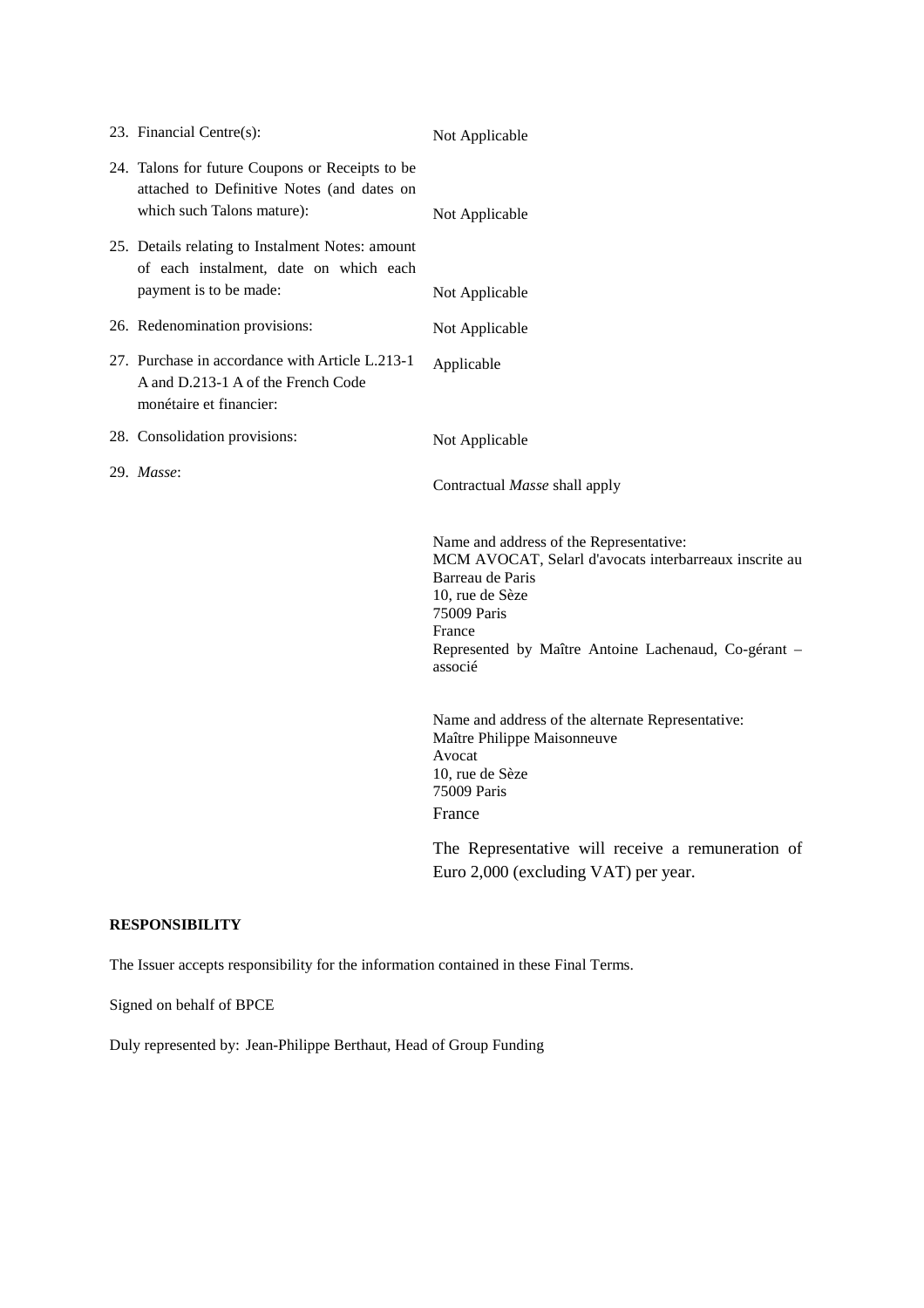| 23. Financial Centre(s):                                                                                                    | Not Applicable                                                                                                                                                                                                                       |
|-----------------------------------------------------------------------------------------------------------------------------|--------------------------------------------------------------------------------------------------------------------------------------------------------------------------------------------------------------------------------------|
| 24. Talons for future Coupons or Receipts to be<br>attached to Definitive Notes (and dates on<br>which such Talons mature): | Not Applicable                                                                                                                                                                                                                       |
| 25. Details relating to Instalment Notes: amount<br>of each instalment, date on which each<br>payment is to be made:        | Not Applicable                                                                                                                                                                                                                       |
| 26. Redenomination provisions:                                                                                              | Not Applicable                                                                                                                                                                                                                       |
| 27. Purchase in accordance with Article L.213-1<br>A and D.213-1 A of the French Code<br>monétaire et financier:            | Applicable                                                                                                                                                                                                                           |
| 28. Consolidation provisions:                                                                                               | Not Applicable                                                                                                                                                                                                                       |
| 29. Masse:                                                                                                                  | Contractual Masse shall apply                                                                                                                                                                                                        |
|                                                                                                                             | Name and address of the Representative:<br>MCM AVOCAT, Selarl d'avocats interbarreaux inscrite au<br>Barreau de Paris<br>10, rue de Sèze<br>75009 Paris<br>France<br>Represented by Maître Antoine Lachenaud, Co-gérant -<br>associé |
|                                                                                                                             | Name and address of the alternate Representative:<br>Maître Philippe Maisonneuve<br>Avocat<br>10, rue de Sèze<br>75009 Paris<br>France                                                                                               |
|                                                                                                                             | The Representative will receive a remuneration of<br>Euro 2,000 (excluding VAT) per year.                                                                                                                                            |
|                                                                                                                             |                                                                                                                                                                                                                                      |

## **RESPONSIBILITY**

The Issuer accepts responsibility for the information contained in these Final Terms.

Signed on behalf of BPCE

Duly represented by: Jean-Philippe Berthaut, Head of Group Funding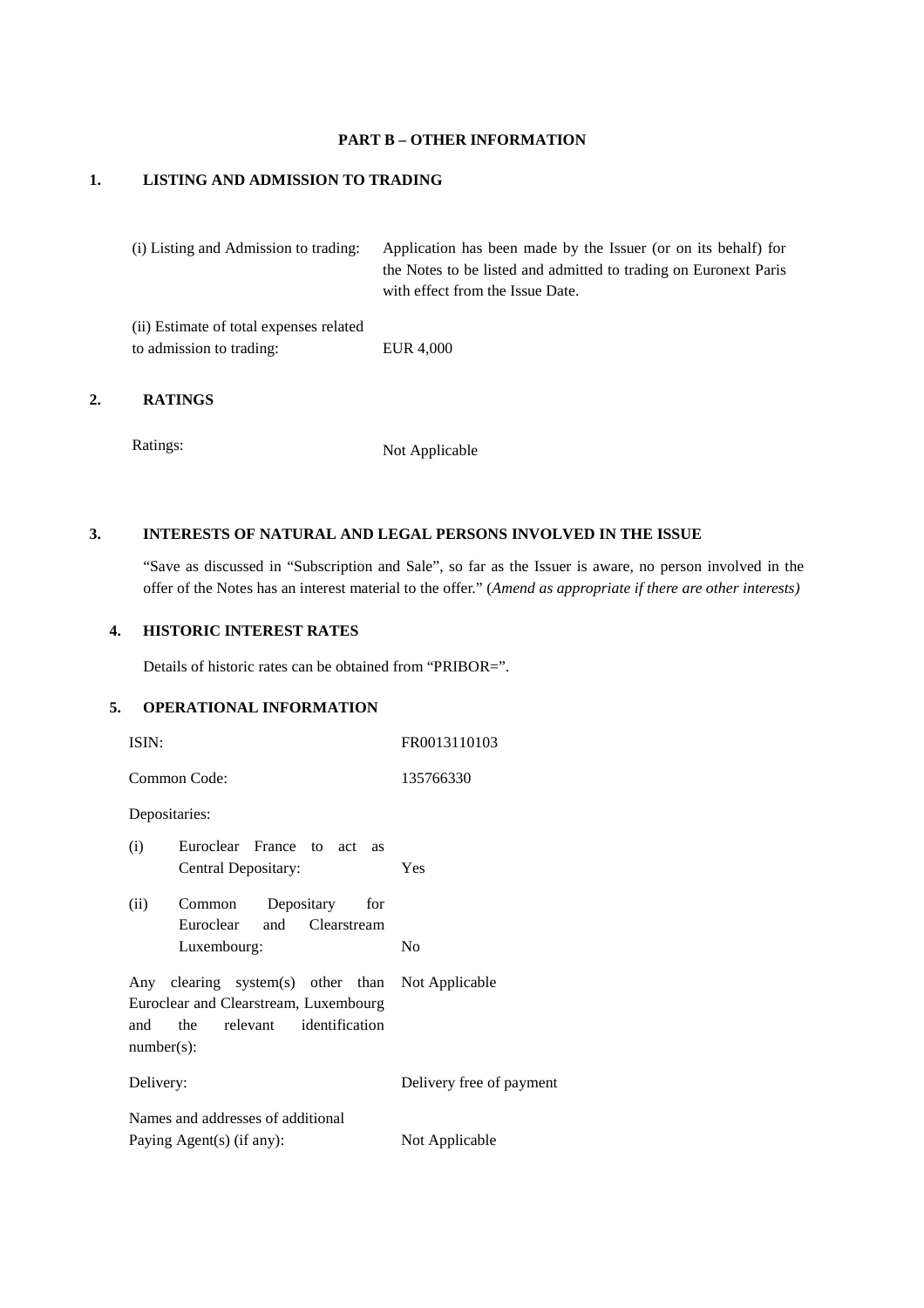#### **PART B – OTHER INFORMATION**

#### **1. LISTING AND ADMISSION TO TRADING**

(i) Listing and Admission to trading: Application has been made by the Issuer (or on its behalf) for the Notes to be listed and admitted to trading on Euronext Paris with effect from the Issue Date.

(ii) Estimate of total expenses related to admission to trading: EUR 4,000

### **2. RATINGS**

Ratings: Not Applicable

## **3. INTERESTS OF NATURAL AND LEGAL PERSONS INVOLVED IN THE ISSUE**

"Save as discussed in "Subscription and Sale", so far as the Issuer is aware, no person involved in the offer of the Notes has an interest material to the offer." (*Amend as appropriate if there are other interests)*

### **4. HISTORIC INTEREST RATES**

Details of historic rates can be obtained from "PRIBOR=".

### **5. OPERATIONAL INFORMATION**

| ISIN:                                                                                                                                            | FR0013110103             |  |
|--------------------------------------------------------------------------------------------------------------------------------------------------|--------------------------|--|
| Common Code:                                                                                                                                     | 135766330                |  |
| Depositaries:                                                                                                                                    |                          |  |
| Euroclear France to act<br>(i)<br>as<br>Central Depositary:                                                                                      | Yes                      |  |
| Common Depositary for<br>(ii)<br>Euroclear and Clearstream                                                                                       |                          |  |
| Luxembourg:                                                                                                                                      | No                       |  |
| Any clearing system(s) other than Not Applicable<br>Euroclear and Clearstream, Luxembourg<br>the relevant identification<br>and<br>$number(s)$ : |                          |  |
| Delivery:                                                                                                                                        | Delivery free of payment |  |
| Names and addresses of additional                                                                                                                |                          |  |
| Paying Agent(s) (if any):                                                                                                                        | Not Applicable           |  |